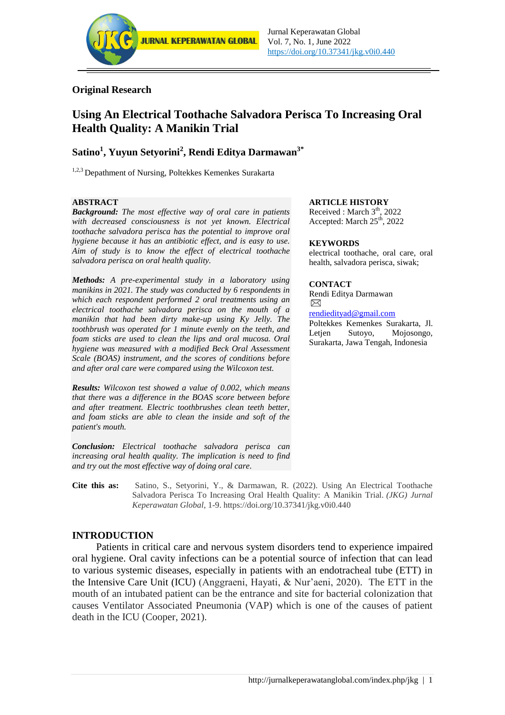

## **Original Research**

# **Using An Electrical Toothache Salvadora Perisca To Increasing Oral Health Quality: A Manikin Trial**

# **Satino<sup>1</sup> , Yuyun Setyorini<sup>2</sup> , Rendi Editya Darmawan3\***

<sup>1,2,3</sup> Depathment of Nursing, Poltekkes Kemenkes Surakarta

#### **ABSTRACT**

*Background: The most effective way of oral care in patients with decreased consciousness is not yet known. Electrical toothache salvadora perisca has the potential to improve oral hygiene because it has an antibiotic effect, and is easy to use. Aim of study is to know the effect of electrical toothache salvadora perisca on oral health quality.*

*Methods: A pre-experimental study in a laboratory using manikins in 2021. The study was conducted by 6 respondents in which each respondent performed 2 oral treatments using an electrical toothache salvadora perisca on the mouth of a manikin that had been dirty make-up using Ky Jelly. The toothbrush was operated for 1 minute evenly on the teeth, and foam sticks are used to clean the lips and oral mucosa. Oral hygiene was measured with a modified Beck Oral Assessment Scale (BOAS) instrument, and the scores of conditions before and after oral care were compared using the Wilcoxon test.*

*Results: Wilcoxon test showed a value of 0.002, which means that there was a difference in the BOAS score between before and after treatment. Electric toothbrushes clean teeth better, and foam sticks are able to clean the inside and soft of the patient's mouth.*

*Conclusion: Electrical toothache salvadora perisca can increasing oral health quality. The implication is need to find and try out the most effective way of doing oral care.*

#### **ARTICLE HISTORY**

Received : March  $3<sup>th</sup>$ , 2022 Accepted: March 25<sup>th</sup>, 2022

#### **KEYWORDS**

electrical toothache, oral care, oral health, salvadora perisca, siwak;

#### **CONTACT**

Rendi Editya Darmawan  $\boxtimes$ 

[rendiedityad@gmail.com](mailto:rendiedityad@gmail.com)

Poltekkes Kemenkes Surakarta, Jl. Letjen Sutoyo, Mojosongo, Surakarta, Jawa Tengah, Indonesia

**Cite this as:** Satino, S., Setyorini, Y., & Darmawan, R. (2022). Using An Electrical Toothache Salvadora Perisca To Increasing Oral Health Quality: A Manikin Trial. *(JKG) Jurnal Keperawatan Global*, 1-9. https://doi.org/10.37341/jkg.v0i0.440

## **INTRODUCTION**

Patients in critical care and nervous system disorders tend to experience impaired oral hygiene. Oral cavity infections can be a potential source of infection that can lead to various systemic diseases, especially in patients with an endotracheal tube (ETT) in the Intensive Care Unit (ICU) (Anggraeni, Hayati, & Nur'aeni, 2020). The ETT in the mouth of an intubated patient can be the entrance and site for bacterial colonization that causes Ventilator Associated Pneumonia (VAP) which is one of the causes of patient death in the ICU (Cooper, 2021).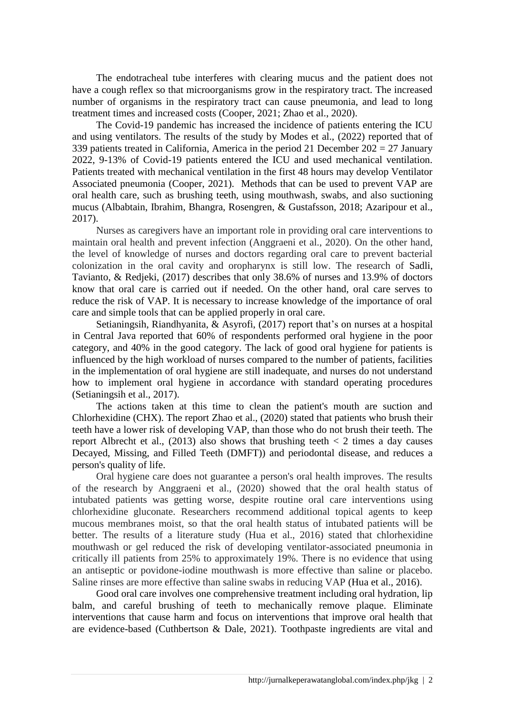The endotracheal tube interferes with clearing mucus and the patient does not have a cough reflex so that microorganisms grow in the respiratory tract. The increased number of organisms in the respiratory tract can cause pneumonia, and lead to long treatment times and increased costs (Cooper, 2021; Zhao et al., 2020).

The Covid-19 pandemic has increased the incidence of patients entering the ICU and using ventilators. The results of the study by Modes et al., (2022) reported that of 339 patients treated in California, America in the period 21 December  $202 = 27$  January 2022, 9-13% of Covid-19 patients entered the ICU and used mechanical ventilation. Patients treated with mechanical ventilation in the first 48 hours may develop Ventilator Associated pneumonia (Cooper, 2021). Methods that can be used to prevent VAP are oral health care, such as brushing teeth, using mouthwash, swabs, and also suctioning mucus (Albabtain, Ibrahim, Bhangra, Rosengren, & Gustafsson, 2018; Azaripour et al., 2017).

Nurses as caregivers have an important role in providing oral care interventions to maintain oral health and prevent infection (Anggraeni et al., 2020). On the other hand, the level of knowledge of nurses and doctors regarding oral care to prevent bacterial colonization in the oral cavity and oropharynx is still low. The research of Sadli, Tavianto, & Redjeki, (2017) describes that only 38.6% of nurses and 13.9% of doctors know that oral care is carried out if needed. On the other hand, oral care serves to reduce the risk of VAP. It is necessary to increase knowledge of the importance of oral care and simple tools that can be applied properly in oral care.

Setianingsih, Riandhyanita, & Asyrofi, (2017) report that's on nurses at a hospital in Central Java reported that 60% of respondents performed oral hygiene in the poor category, and 40% in the good category. The lack of good oral hygiene for patients is influenced by the high workload of nurses compared to the number of patients, facilities in the implementation of oral hygiene are still inadequate, and nurses do not understand how to implement oral hygiene in accordance with standard operating procedures (Setianingsih et al., 2017).

The actions taken at this time to clean the patient's mouth are suction and Chlorhexidine (CHX). The report Zhao et al., (2020) stated that patients who brush their teeth have a lower risk of developing VAP, than those who do not brush their teeth. The report Albrecht et al., (2013) also shows that brushing teeth  $\lt 2$  times a day causes Decayed, Missing, and Filled Teeth (DMFT)) and periodontal disease, and reduces a person's quality of life.

Oral hygiene care does not guarantee a person's oral health improves. The results of the research by Anggraeni et al., (2020) showed that the oral health status of intubated patients was getting worse, despite routine oral care interventions using chlorhexidine gluconate. Researchers recommend additional topical agents to keep mucous membranes moist, so that the oral health status of intubated patients will be better. The results of a literature study (Hua et al., 2016) stated that chlorhexidine mouthwash or gel reduced the risk of developing ventilator-associated pneumonia in critically ill patients from 25% to approximately 19%. There is no evidence that using an antiseptic or povidone-iodine mouthwash is more effective than saline or placebo. Saline rinses are more effective than saline swabs in reducing VAP (Hua et al., 2016).

Good oral care involves one comprehensive treatment including oral hydration, lip balm, and careful brushing of teeth to mechanically remove plaque. Eliminate interventions that cause harm and focus on interventions that improve oral health that are evidence-based (Cuthbertson & Dale, 2021). Toothpaste ingredients are vital and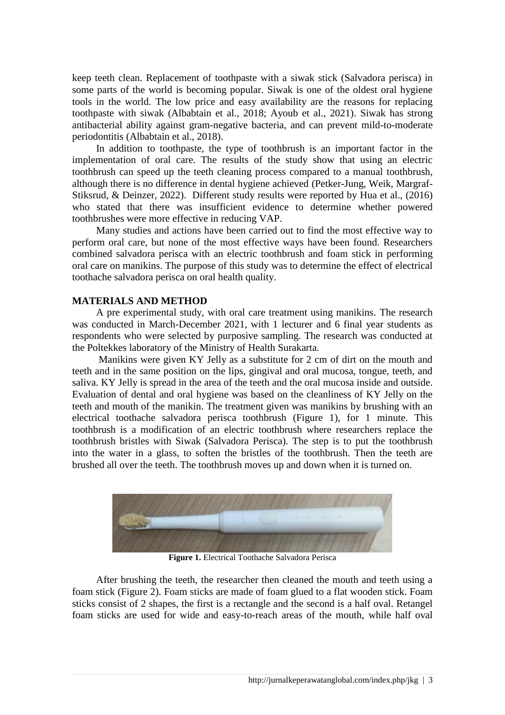keep teeth clean. Replacement of toothpaste with a siwak stick (Salvadora perisca) in some parts of the world is becoming popular. Siwak is one of the oldest oral hygiene tools in the world. The low price and easy availability are the reasons for replacing toothpaste with siwak (Albabtain et al., 2018; Ayoub et al., 2021). Siwak has strong antibacterial ability against gram-negative bacteria, and can prevent mild-to-moderate periodontitis (Albabtain et al., 2018).

In addition to toothpaste, the type of toothbrush is an important factor in the implementation of oral care. The results of the study show that using an electric toothbrush can speed up the teeth cleaning process compared to a manual toothbrush, although there is no difference in dental hygiene achieved (Petker-Jung, Weik, Margraf-Stiksrud, & Deinzer, 2022). Different study results were reported by Hua et al., (2016) who stated that there was insufficient evidence to determine whether powered toothbrushes were more effective in reducing VAP.

Many studies and actions have been carried out to find the most effective way to perform oral care, but none of the most effective ways have been found. Researchers combined salvadora perisca with an electric toothbrush and foam stick in performing oral care on manikins. The purpose of this study was to determine the effect of electrical toothache salvadora perisca on oral health quality.

## **MATERIALS AND METHOD**

A pre experimental study, with oral care treatment using manikins. The research was conducted in March-December 2021, with 1 lecturer and 6 final year students as respondents who were selected by purposive sampling. The research was conducted at the Poltekkes laboratory of the Ministry of Health Surakarta.

Manikins were given KY Jelly as a substitute for 2 cm of dirt on the mouth and teeth and in the same position on the lips, gingival and oral mucosa, tongue, teeth, and saliva. KY Jelly is spread in the area of the teeth and the oral mucosa inside and outside. Evaluation of dental and oral hygiene was based on the cleanliness of KY Jelly on the teeth and mouth of the manikin. The treatment given was manikins by brushing with an electrical toothache salvadora perisca toothbrush (Figure 1), for 1 minute. This toothbrush is a modification of an electric toothbrush where researchers replace the toothbrush bristles with Siwak (Salvadora Perisca). The step is to put the toothbrush into the water in a glass, to soften the bristles of the toothbrush. Then the teeth are brushed all over the teeth. The toothbrush moves up and down when it is turned on.



**Figure 1.** Electrical Toothache Salvadora Perisca

After brushing the teeth, the researcher then cleaned the mouth and teeth using a foam stick (Figure 2). Foam sticks are made of foam glued to a flat wooden stick. Foam sticks consist of 2 shapes, the first is a rectangle and the second is a half oval. Retangel foam sticks are used for wide and easy-to-reach areas of the mouth, while half oval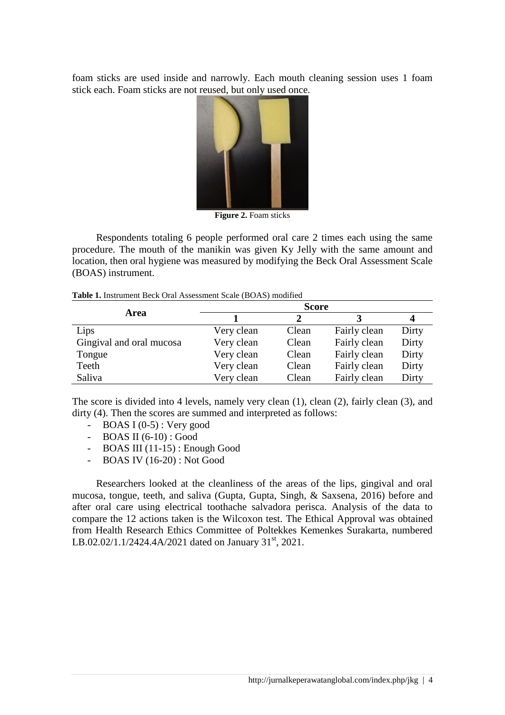foam sticks are used inside and narrowly. Each mouth cleaning session uses 1 foam stick each. Foam sticks are not reused, but only used once.



**Figure 2.** Foam sticks

Respondents totaling 6 people performed oral care 2 times each using the same procedure. The mouth of the manikin was given Ky Jelly with the same amount and location, then oral hygiene was measured by modifying the Beck Oral Assessment Scale (BOAS) instrument.

|                          | <b>Score</b> |       |              |       |  |
|--------------------------|--------------|-------|--------------|-------|--|
| Area                     |              |       |              | 4     |  |
| Lips                     | Very clean   | Clean | Fairly clean | Dirty |  |
| Gingival and oral mucosa | Very clean   | Clean | Fairly clean | Dirty |  |
| Tongue                   | Very clean   | Clean | Fairly clean | Dirty |  |
| Teeth                    | Very clean   | Clean | Fairly clean | Dirty |  |
| Saliva                   | Very clean   | Clean | Fairly clean | Dirty |  |

The score is divided into 4 levels, namely very clean (1), clean (2), fairly clean (3), and dirty (4). Then the scores are summed and interpreted as follows:

- BOAS I  $(0-5)$ : Very good
- BOAS II (6-10) : Good
- BOAS III (11-15) : Enough Good
- BOAS IV (16-20) : Not Good

Researchers looked at the cleanliness of the areas of the lips, gingival and oral mucosa, tongue, teeth, and saliva (Gupta, Gupta, Singh, & Saxsena, 2016) before and after oral care using electrical toothache salvadora perisca. Analysis of the data to compare the 12 actions taken is the Wilcoxon test. The Ethical Approval was obtained from Health Research Ethics Committee of Poltekkes Kemenkes Surakarta, numbered LB.02.02/1.1/2424.4A/2021 dated on January 31<sup>st</sup>, 2021.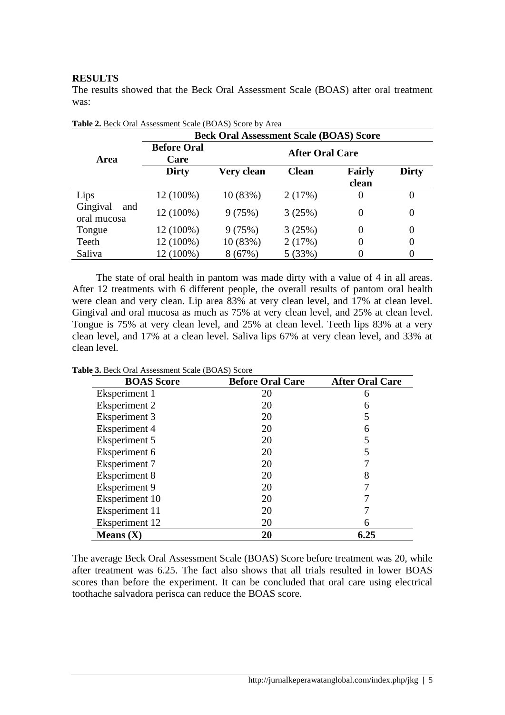## **RESULTS**

The results showed that the Beck Oral Assessment Scale (BOAS) after oral treatment was:

|                                | <b>THOICE.</b> Deen Only Hoocoontent beare (DOI to ) because $\theta$ , Then<br><b>Beck Oral Assessment Scale (BOAS) Score</b> |                        |              |                 |              |  |
|--------------------------------|--------------------------------------------------------------------------------------------------------------------------------|------------------------|--------------|-----------------|--------------|--|
| Area                           | <b>Before Oral</b><br>Care                                                                                                     | <b>After Oral Care</b> |              |                 |              |  |
|                                | <b>Dirty</b>                                                                                                                   | Very clean             | <b>Clean</b> | Fairly<br>clean | <b>Dirty</b> |  |
| Lips                           | 12 (100%)                                                                                                                      | 10(83%)                | 2(17%)       | $\theta$        | $\theta$     |  |
| Gingival<br>and<br>oral mucosa | 12 (100%)                                                                                                                      | 9(75%)                 | 3(25%)       | 0               | 0            |  |
| Tongue                         | 12 (100%)                                                                                                                      | 9(75%)                 | 3(25%)       | 0               | 0            |  |
| Teeth                          | 12 (100%)                                                                                                                      | 10 (83%)               | 2(17%)       | 0               | 0            |  |
| Saliva                         | 12 (100%)                                                                                                                      | 8(67%)                 | 5(33%)       |                 | 0            |  |

**Table 2.** Beck Oral Assessment Scale (BOAS) Score by Area

The state of oral health in pantom was made dirty with a value of 4 in all areas. After 12 treatments with 6 different people, the overall results of pantom oral health were clean and very clean. Lip area 83% at very clean level, and 17% at clean level. Gingival and oral mucosa as much as 75% at very clean level, and 25% at clean level. Tongue is 75% at very clean level, and 25% at clean level. Teeth lips 83% at a very clean level, and 17% at a clean level. Saliva lips 67% at very clean level, and 33% at clean level.

| <b>BOAS</b> Score    | <b>Before Oral Care</b> | <b>After Oral Care</b> |  |
|----------------------|-------------------------|------------------------|--|
| Eksperiment 1        | 20                      | 6                      |  |
| <b>Eksperiment 2</b> | 20                      | 6                      |  |
| Eksperiment 3        | 20                      |                        |  |
| Eksperiment 4        | 20                      | 6                      |  |
| <b>Eksperiment 5</b> | 20                      |                        |  |
| Eksperiment 6        | 20                      |                        |  |
| <b>Eksperiment 7</b> | 20                      |                        |  |
| Eksperiment 8        | 20                      | 8                      |  |
| Eksperiment 9        | 20                      |                        |  |
| Eksperiment 10       | 20                      |                        |  |
| Eksperiment 11       | 20                      |                        |  |
| Eksperiment 12       | 20                      | h                      |  |
| Means $(X)$          | 20                      | 6.25                   |  |

**Table 3.** Beck Oral Assessment Scale (BOAS) Score

The average Beck Oral Assessment Scale (BOAS) Score before treatment was 20, while after treatment was 6.25. The fact also shows that all trials resulted in lower BOAS scores than before the experiment. It can be concluded that oral care using electrical toothache salvadora perisca can reduce the BOAS score.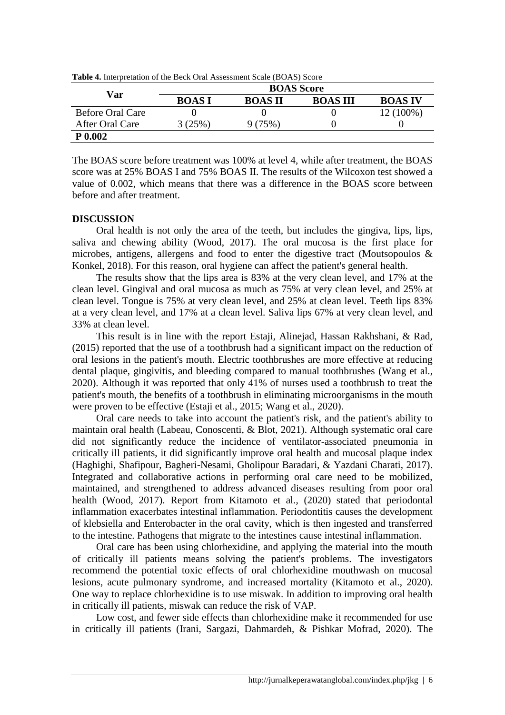| Var              | <b>BOAS</b> Score |                |                 |                |  |
|------------------|-------------------|----------------|-----------------|----------------|--|
|                  | <b>BOASI</b>      | <b>BOAS II</b> | <b>BOAS III</b> | <b>BOAS IV</b> |  |
| Before Oral Care |                   |                |                 | 12 (100%)      |  |
| After Oral Care  | $3(25\%)$         | 9 (75%)        |                 |                |  |
| P 0.002          |                   |                |                 |                |  |

**Table 4.** Interpretation of the Beck Oral Assessment Scale (BOAS) Score

The BOAS score before treatment was 100% at level 4, while after treatment, the BOAS score was at 25% BOAS I and 75% BOAS II. The results of the Wilcoxon test showed a value of 0.002, which means that there was a difference in the BOAS score between before and after treatment.

## **DISCUSSION**

Oral health is not only the area of the teeth, but includes the gingiva, lips, lips, saliva and chewing ability (Wood, 2017). The oral mucosa is the first place for microbes, antigens, allergens and food to enter the digestive tract (Moutsopoulos & Konkel, 2018). For this reason, oral hygiene can affect the patient's general health.

The results show that the lips area is 83% at the very clean level, and 17% at the clean level. Gingival and oral mucosa as much as 75% at very clean level, and 25% at clean level. Tongue is 75% at very clean level, and 25% at clean level. Teeth lips 83% at a very clean level, and 17% at a clean level. Saliva lips 67% at very clean level, and 33% at clean level.

This result is in line with the report Estaji, Alinejad, Hassan Rakhshani, & Rad, (2015) reported that the use of a toothbrush had a significant impact on the reduction of oral lesions in the patient's mouth. Electric toothbrushes are more effective at reducing dental plaque, gingivitis, and bleeding compared to manual toothbrushes (Wang et al., 2020). Although it was reported that only 41% of nurses used a toothbrush to treat the patient's mouth, the benefits of a toothbrush in eliminating microorganisms in the mouth were proven to be effective (Estaji et al., 2015; Wang et al., 2020).

Oral care needs to take into account the patient's risk, and the patient's ability to maintain oral health (Labeau, Conoscenti, & Blot, 2021). Although systematic oral care did not significantly reduce the incidence of ventilator-associated pneumonia in critically ill patients, it did significantly improve oral health and mucosal plaque index (Haghighi, Shafipour, Bagheri-Nesami, Gholipour Baradari, & Yazdani Charati, 2017). Integrated and collaborative actions in performing oral care need to be mobilized, maintained, and strengthened to address advanced diseases resulting from poor oral health (Wood, 2017). Report from Kitamoto et al., (2020) stated that periodontal inflammation exacerbates intestinal inflammation. Periodontitis causes the development of klebsiella and Enterobacter in the oral cavity, which is then ingested and transferred to the intestine. Pathogens that migrate to the intestines cause intestinal inflammation.

Oral care has been using chlorhexidine, and applying the material into the mouth of critically ill patients means solving the patient's problems. The investigators recommend the potential toxic effects of oral chlorhexidine mouthwash on mucosal lesions, acute pulmonary syndrome, and increased mortality (Kitamoto et al., 2020). One way to replace chlorhexidine is to use miswak. In addition to improving oral health in critically ill patients, miswak can reduce the risk of VAP.

Low cost, and fewer side effects than chlorhexidine make it recommended for use in critically ill patients (Irani, Sargazi, Dahmardeh, & Pishkar Mofrad, 2020). The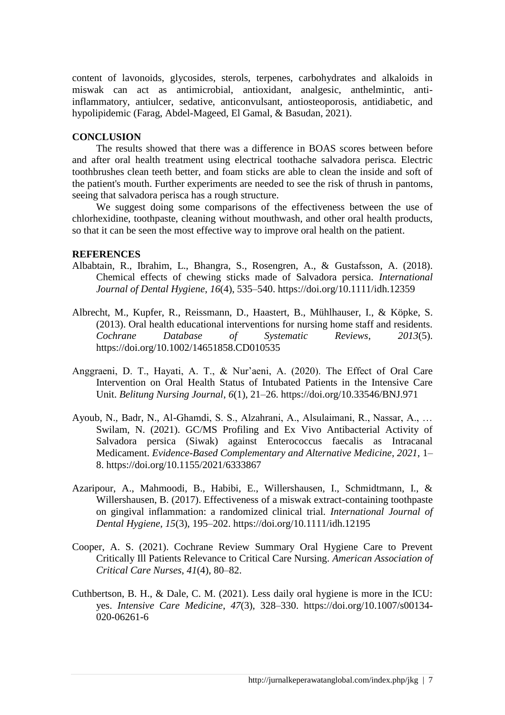content of lavonoids, glycosides, sterols, terpenes, carbohydrates and alkaloids in miswak can act as antimicrobial, antioxidant, analgesic, anthelmintic, antiinflammatory, antiulcer, sedative, anticonvulsant, antiosteoporosis, antidiabetic, and hypolipidemic (Farag, Abdel-Mageed, El Gamal, & Basudan, 2021).

#### **CONCLUSION**

The results showed that there was a difference in BOAS scores between before and after oral health treatment using electrical toothache salvadora perisca. Electric toothbrushes clean teeth better, and foam sticks are able to clean the inside and soft of the patient's mouth. Further experiments are needed to see the risk of thrush in pantoms, seeing that salvadora perisca has a rough structure.

We suggest doing some comparisons of the effectiveness between the use of chlorhexidine, toothpaste, cleaning without mouthwash, and other oral health products, so that it can be seen the most effective way to improve oral health on the patient.

#### **REFERENCES**

- Albabtain, R., Ibrahim, L., Bhangra, S., Rosengren, A., & Gustafsson, A. (2018). Chemical effects of chewing sticks made of Salvadora persica. *International Journal of Dental Hygiene*, *16*(4), 535–540. https://doi.org/10.1111/idh.12359
- Albrecht, M., Kupfer, R., Reissmann, D., Haastert, B., Mühlhauser, I., & Köpke, S. (2013). Oral health educational interventions for nursing home staff and residents. *Cochrane Database of Systematic Reviews*, *2013*(5). https://doi.org/10.1002/14651858.CD010535
- Anggraeni, D. T., Hayati, A. T., & Nur'aeni, A. (2020). The Effect of Oral Care Intervention on Oral Health Status of Intubated Patients in the Intensive Care Unit. *Belitung Nursing Journal*, *6*(1), 21–26. https://doi.org/10.33546/BNJ.971
- Ayoub, N., Badr, N., Al-Ghamdi, S. S., Alzahrani, A., Alsulaimani, R., Nassar, A., … Swilam, N. (2021). GC/MS Profiling and Ex Vivo Antibacterial Activity of Salvadora persica (Siwak) against Enterococcus faecalis as Intracanal Medicament. *Evidence-Based Complementary and Alternative Medicine*, *2021*, 1– 8. https://doi.org/10.1155/2021/6333867
- Azaripour, A., Mahmoodi, B., Habibi, E., Willershausen, I., Schmidtmann, I., & Willershausen, B. (2017). Effectiveness of a miswak extract-containing toothpaste on gingival inflammation: a randomized clinical trial. *International Journal of Dental Hygiene*, *15*(3), 195–202. https://doi.org/10.1111/idh.12195
- Cooper, A. S. (2021). Cochrane Review Summary Oral Hygiene Care to Prevent Critically Ill Patients Relevance to Critical Care Nursing. *American Association of Critical Care Nurses*, *41*(4), 80–82.
- Cuthbertson, B. H., & Dale, C. M. (2021). Less daily oral hygiene is more in the ICU: yes. *Intensive Care Medicine*, *47*(3), 328–330. https://doi.org/10.1007/s00134- 020-06261-6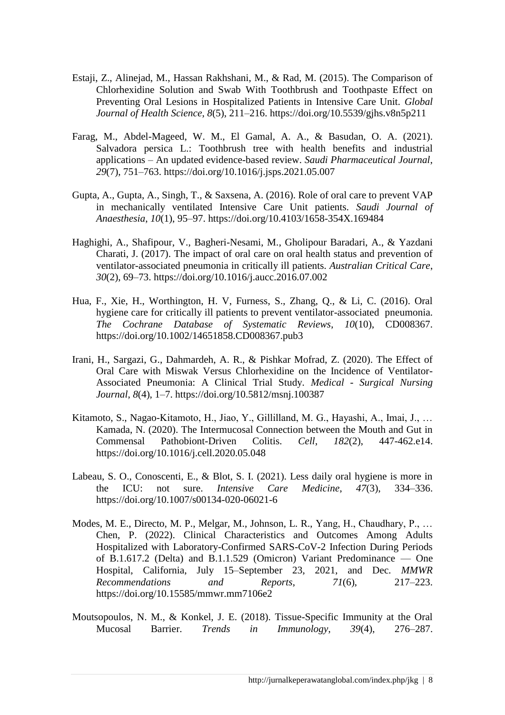- Estaji, Z., Alinejad, M., Hassan Rakhshani, M., & Rad, M. (2015). The Comparison of Chlorhexidine Solution and Swab With Toothbrush and Toothpaste Effect on Preventing Oral Lesions in Hospitalized Patients in Intensive Care Unit. *Global Journal of Health Science*, *8*(5), 211–216. https://doi.org/10.5539/gjhs.v8n5p211
- Farag, M., Abdel-Mageed, W. M., El Gamal, A. A., & Basudan, O. A. (2021). Salvadora persica L.: Toothbrush tree with health benefits and industrial applications – An updated evidence-based review. *Saudi Pharmaceutical Journal*, *29*(7), 751–763. https://doi.org/10.1016/j.jsps.2021.05.007
- Gupta, A., Gupta, A., Singh, T., & Saxsena, A. (2016). Role of oral care to prevent VAP in mechanically ventilated Intensive Care Unit patients. *Saudi Journal of Anaesthesia*, *10*(1), 95–97. https://doi.org/10.4103/1658-354X.169484
- Haghighi, A., Shafipour, V., Bagheri-Nesami, M., Gholipour Baradari, A., & Yazdani Charati, J. (2017). The impact of oral care on oral health status and prevention of ventilator-associated pneumonia in critically ill patients. *Australian Critical Care*, *30*(2), 69–73. https://doi.org/10.1016/j.aucc.2016.07.002
- Hua, F., Xie, H., Worthington, H. V, Furness, S., Zhang, Q., & Li, C. (2016). Oral hygiene care for critically ill patients to prevent ventilator-associated pneumonia. *The Cochrane Database of Systematic Reviews*, *10*(10), CD008367. https://doi.org/10.1002/14651858.CD008367.pub3
- Irani, H., Sargazi, G., Dahmardeh, A. R., & Pishkar Mofrad, Z. (2020). The Effect of Oral Care with Miswak Versus Chlorhexidine on the Incidence of Ventilator-Associated Pneumonia: A Clinical Trial Study. *Medical - Surgical Nursing Journal*, *8*(4), 1–7. https://doi.org/10.5812/msnj.100387
- Kitamoto, S., Nagao-Kitamoto, H., Jiao, Y., Gillilland, M. G., Hayashi, A., Imai, J., … Kamada, N. (2020). The Intermucosal Connection between the Mouth and Gut in Commensal Pathobiont-Driven Colitis. *Cell*, *182*(2), 447-462.e14. https://doi.org/10.1016/j.cell.2020.05.048
- Labeau, S. O., Conoscenti, E., & Blot, S. I. (2021). Less daily oral hygiene is more in the ICU: not sure. *Intensive Care Medicine*, *47*(3), 334–336. https://doi.org/10.1007/s00134-020-06021-6
- Modes, M. E., Directo, M. P., Melgar, M., Johnson, L. R., Yang, H., Chaudhary, P., … Chen, P. (2022). Clinical Characteristics and Outcomes Among Adults Hospitalized with Laboratory-Confirmed SARS-CoV-2 Infection During Periods of B.1.617.2 (Delta) and B.1.1.529 (Omicron) Variant Predominance — One Hospital, California, July 15–September 23, 2021, and Dec. *MMWR Recommendations and Reports*, *71*(6), 217–223. https://doi.org/10.15585/mmwr.mm7106e2
- Moutsopoulos, N. M., & Konkel, J. E. (2018). Tissue-Specific Immunity at the Oral Mucosal Barrier. *Trends in Immunology*, *39*(4), 276–287.